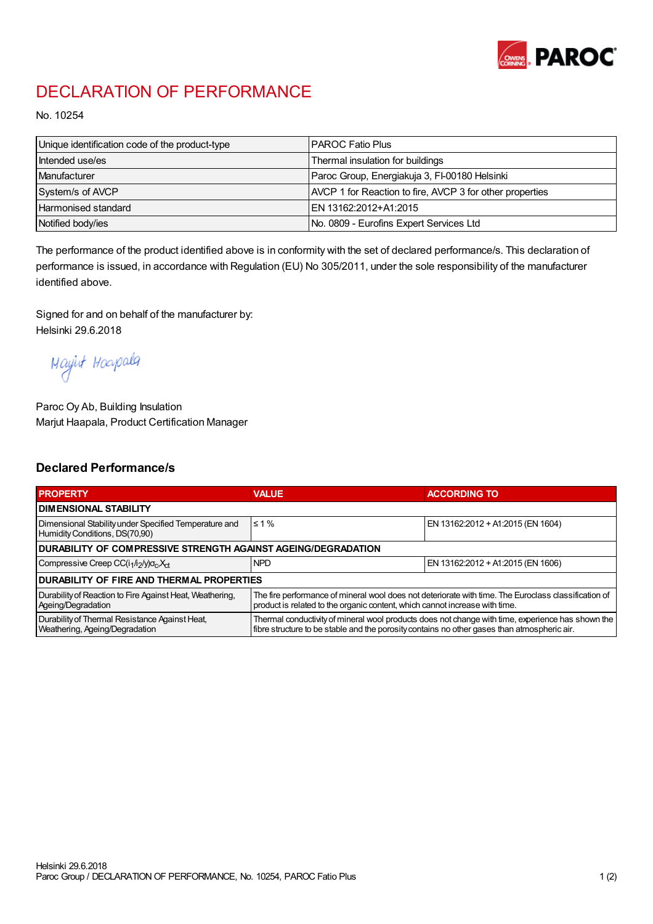

## DECLARATION OF PERFORMANCE

No. 10254

| Unique identification code of the product-type | <b>I PAROC Fatio Plus</b>                                |
|------------------------------------------------|----------------------------------------------------------|
| Intended use/es                                | Thermal insulation for buildings                         |
| Manufacturer                                   | Paroc Group, Energiakuja 3, FI-00180 Helsinki            |
| System/s of AVCP                               | AVCP 1 for Reaction to fire, AVCP 3 for other properties |
| Harmonised standard                            | IEN 13162:2012+A1:2015                                   |
| Notified body/ies                              | No. 0809 - Eurofins Expert Services Ltd                  |

The performance of the product identified above is in conformity with the set of declared performance/s. This declaration of performance is issued, in accordance with Regulation (EU) No 305/2011, under the sole responsibility of the manufacturer identified above.

Signed for and on behalf of the manufacturer by: Helsinki 29.6.2018

Mayint Hoapala

Paroc Oy Ab, Building Insulation Marjut Haapala, Product Certification Manager

## Declared Performance/s

| <b>PROPERTY</b>                                                                         | <b>VALUE</b>                                                                                                                                                                                     | <b>ACCORDING TO</b>               |  |  |
|-----------------------------------------------------------------------------------------|--------------------------------------------------------------------------------------------------------------------------------------------------------------------------------------------------|-----------------------------------|--|--|
| <b>I DIMENSIONAL STABILITY</b>                                                          |                                                                                                                                                                                                  |                                   |  |  |
| Dimensional Stability under Specified Temperature and<br>Humidity Conditions, DS(70,90) | $\leq 1\%$                                                                                                                                                                                       | EN 13162:2012 + A1:2015 (EN 1604) |  |  |
| <b>DURABILITY OF COMPRESSIVE STRENGTH AGAINST AGEING/DEGRADATION</b>                    |                                                                                                                                                                                                  |                                   |  |  |
| Compressive Creep CC(i <sub>1</sub> /i <sub>2</sub> /y) $\sigma_c X_{ct}$               | <b>NPD</b>                                                                                                                                                                                       | EN 13162:2012 + A1:2015 (EN 1606) |  |  |
| IDURABILITY OF FIRE AND THERMAL PROPERTIES                                              |                                                                                                                                                                                                  |                                   |  |  |
| Durability of Reaction to Fire Against Heat, Weathering,<br>Ageing/Degradation          | The fire performance of mineral wool does not deteriorate with time. The Euroclass classification of<br>product is related to the organic content, which cannot increase with time.              |                                   |  |  |
| Durability of Thermal Resistance Against Heat,<br>Weathering, Ageing/Degradation        | Thermal conductivity of mineral wool products does not change with time, experience has shown the<br>fibre structure to be stable and the porosity contains no other gases than atmospheric air. |                                   |  |  |